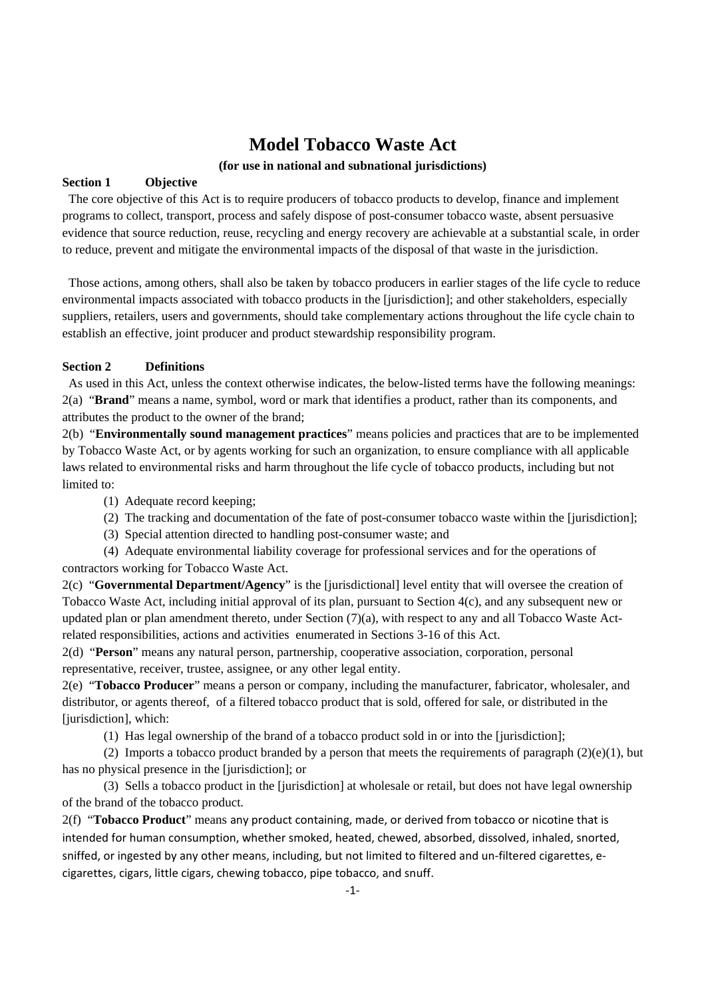# **Model Tobacco Waste Act**

## **(for use in national and subnational jurisdictions)**

## **Section 1 Objective**

 The core objective of this Act is to require producers of tobacco products to develop, finance and implement programs to collect, transport, process and safely dispose of post-consumer tobacco waste, absent persuasive evidence that source reduction, reuse, recycling and energy recovery are achievable at a substantial scale, in order to reduce, prevent and mitigate the environmental impacts of the disposal of that waste in the jurisdiction.

 Those actions, among others, shall also be taken by tobacco producers in earlier stages of the life cycle to reduce environmental impacts associated with tobacco products in the [jurisdiction]; and other stakeholders, especially suppliers, retailers, users and governments, should take complementary actions throughout the life cycle chain to establish an effective, joint producer and product stewardship responsibility program.

## **Section 2 Definitions**

 As used in this Act, unless the context otherwise indicates, the below-listed terms have the following meanings: 2(a) "**Brand**" means a name, symbol, word or mark that identifies a product, rather than its components, and attributes the product to the owner of the brand;

2(b) "**Environmentally sound management practices**" means policies and practices that are to be implemented by Tobacco Waste Act, or by agents working for such an organization, to ensure compliance with all applicable laws related to environmental risks and harm throughout the life cycle of tobacco products, including but not limited to:

- (1) Adequate record keeping;
- (2) The tracking and documentation of the fate of post-consumer tobacco waste within the [jurisdiction];
- (3) Special attention directed to handling post-consumer waste; and

(4) Adequate environmental liability coverage for professional services and for the operations of contractors working for Tobacco Waste Act.

2(c) "**Governmental Department/Agency**" is the [jurisdictional] level entity that will oversee the creation of Tobacco Waste Act, including initial approval of its plan, pursuant to Section 4(c), and any subsequent new or updated plan or plan amendment thereto, under Section (7)(a), with respect to any and all Tobacco Waste Actrelated responsibilities, actions and activities enumerated in Sections 3-16 of this Act.

2(d) "**Person**" means any natural person, partnership, cooperative association, corporation, personal representative, receiver, trustee, assignee, or any other legal entity.

2(e) "**Tobacco Producer**" means a person or company, including the manufacturer, fabricator, wholesaler, and distributor, or agents thereof, of a filtered tobacco product that is sold, offered for sale, or distributed in the [jurisdiction], which:

(1) Has legal ownership of the brand of a tobacco product sold in or into the [jurisdiction];

(2) Imports a tobacco product branded by a person that meets the requirements of paragraph  $(2)(e)(1)$ , but has no physical presence in the [jurisdiction]; or

(3) Sells a tobacco product in the [jurisdiction] at wholesale or retail, but does not have legal ownership of the brand of the tobacco product.

2(f) "**Tobacco Product**" means any product containing, made, or derived from tobacco or nicotine that is intended for human consumption, whether smoked, heated, chewed, absorbed, dissolved, inhaled, snorted, sniffed, or ingested by any other means, including, but not limited to filtered and un-filtered cigarettes, ecigarettes, cigars, little cigars, chewing tobacco, pipe tobacco, and snuff.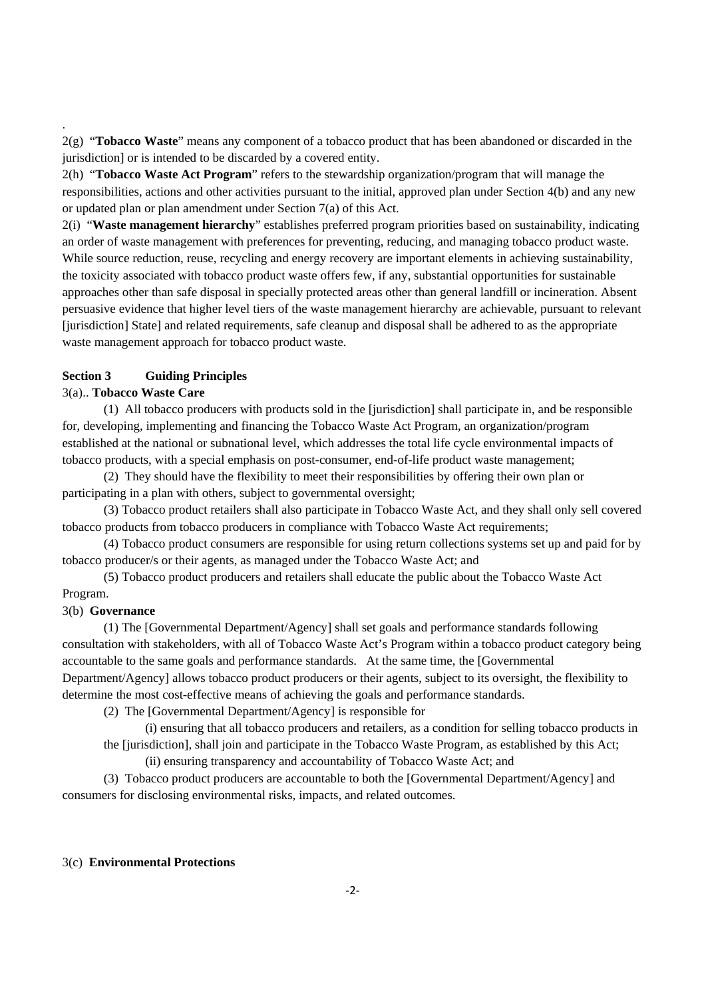2(g) "**Tobacco Waste**" means any component of a tobacco product that has been abandoned or discarded in the jurisdiction] or is intended to be discarded by a covered entity.

2(h) "**Tobacco Waste Act Program**" refers to the stewardship organization/program that will manage the responsibilities, actions and other activities pursuant to the initial, approved plan under Section 4(b) and any new or updated plan or plan amendment under Section 7(a) of this Act.

2(i) "**Waste management hierarchy**" establishes preferred program priorities based on sustainability, indicating an order of waste management with preferences for preventing, reducing, and managing tobacco product waste. While source reduction, reuse, recycling and energy recovery are important elements in achieving sustainability, the toxicity associated with tobacco product waste offers few, if any, substantial opportunities for sustainable approaches other than safe disposal in specially protected areas other than general landfill or incineration. Absent persuasive evidence that higher level tiers of the waste management hierarchy are achievable, pursuant to relevant [jurisdiction] State] and related requirements, safe cleanup and disposal shall be adhered to as the appropriate waste management approach for tobacco product waste.

## **Section 3 Guiding Principles**

### 3(a).. **Tobacco Waste Care**

.

(1) All tobacco producers with products sold in the [jurisdiction] shall participate in, and be responsible for, developing, implementing and financing the Tobacco Waste Act Program, an organization/program established at the national or subnational level, which addresses the total life cycle environmental impacts of tobacco products, with a special emphasis on post-consumer, end-of-life product waste management;

(2) They should have the flexibility to meet their responsibilities by offering their own plan or participating in a plan with others, subject to governmental oversight;

(3) Tobacco product retailers shall also participate in Tobacco Waste Act, and they shall only sell covered tobacco products from tobacco producers in compliance with Tobacco Waste Act requirements;

(4) Tobacco product consumers are responsible for using return collections systems set up and paid for by tobacco producer/s or their agents, as managed under the Tobacco Waste Act; and

(5) Tobacco product producers and retailers shall educate the public about the Tobacco Waste Act Program.

### 3(b) **Governance**

(1) The [Governmental Department/Agency] shall set goals and performance standards following consultation with stakeholders, with all of Tobacco Waste Act's Program within a tobacco product category being accountable to the same goals and performance standards. At the same time, the [Governmental Department/Agency] allows tobacco product producers or their agents, subject to its oversight, the flexibility to determine the most cost-effective means of achieving the goals and performance standards.

(2) The [Governmental Department/Agency] is responsible for

(i) ensuring that all tobacco producers and retailers, as a condition for selling tobacco products in the [jurisdiction], shall join and participate in the Tobacco Waste Program, as established by this Act; (ii) ensuring transparency and accountability of Tobacco Waste Act; and

(3) Tobacco product producers are accountable to both the [Governmental Department/Agency] and consumers for disclosing environmental risks, impacts, and related outcomes.

## 3(c) **Environmental Protections**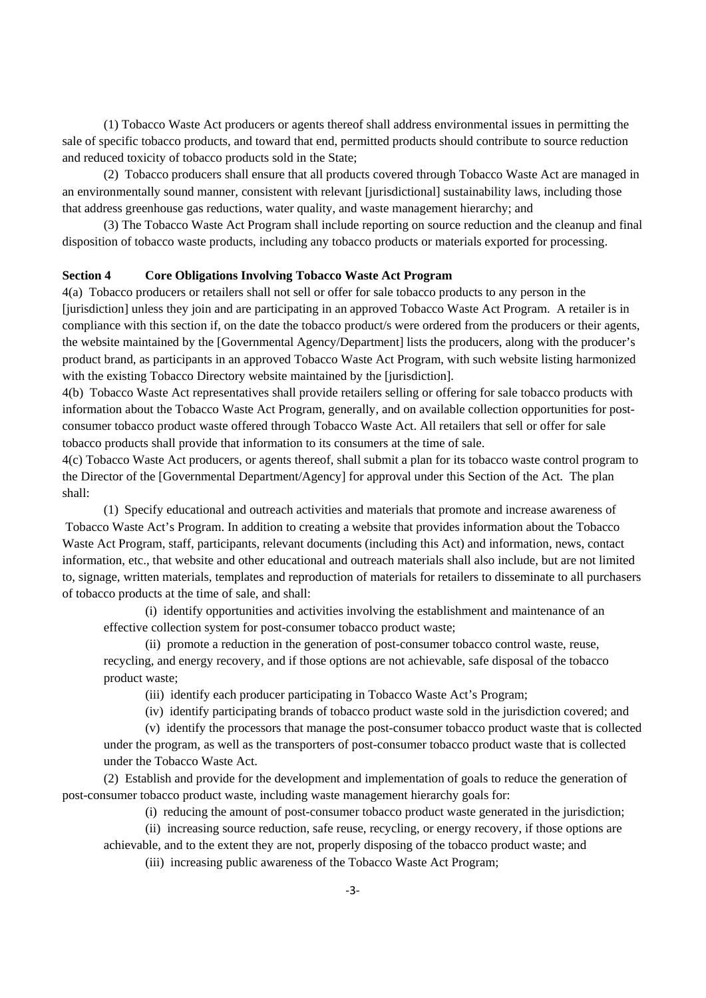(1) Tobacco Waste Act producers or agents thereof shall address environmental issues in permitting the sale of specific tobacco products, and toward that end, permitted products should contribute to source reduction and reduced toxicity of tobacco products sold in the State;

(2) Tobacco producers shall ensure that all products covered through Tobacco Waste Act are managed in an environmentally sound manner, consistent with relevant [jurisdictional] sustainability laws, including those that address greenhouse gas reductions, water quality, and waste management hierarchy; and

(3) The Tobacco Waste Act Program shall include reporting on source reduction and the cleanup and final disposition of tobacco waste products, including any tobacco products or materials exported for processing.

#### **Section 4 Core Obligations Involving Tobacco Waste Act Program**

4(a) Tobacco producers or retailers shall not sell or offer for sale tobacco products to any person in the [jurisdiction] unless they join and are participating in an approved Tobacco Waste Act Program. A retailer is in compliance with this section if, on the date the tobacco product/s were ordered from the producers or their agents, the website maintained by the [Governmental Agency/Department] lists the producers, along with the producer's product brand, as participants in an approved Tobacco Waste Act Program, with such website listing harmonized with the existing Tobacco Directory website maintained by the [jurisdiction].

4(b) Tobacco Waste Act representatives shall provide retailers selling or offering for sale tobacco products with information about the Tobacco Waste Act Program, generally, and on available collection opportunities for postconsumer tobacco product waste offered through Tobacco Waste Act. All retailers that sell or offer for sale tobacco products shall provide that information to its consumers at the time of sale.

4(c) Tobacco Waste Act producers, or agents thereof, shall submit a plan for its tobacco waste control program to the Director of the [Governmental Department/Agency] for approval under this Section of the Act. The plan shall:

(1) Specify educational and outreach activities and materials that promote and increase awareness of Tobacco Waste Act's Program. In addition to creating a website that provides information about the Tobacco Waste Act Program, staff, participants, relevant documents (including this Act) and information, news, contact information, etc., that website and other educational and outreach materials shall also include, but are not limited to, signage, written materials, templates and reproduction of materials for retailers to disseminate to all purchasers of tobacco products at the time of sale, and shall:

(i) identify opportunities and activities involving the establishment and maintenance of an effective collection system for post-consumer tobacco product waste;

(ii) promote a reduction in the generation of post-consumer tobacco control waste, reuse, recycling, and energy recovery, and if those options are not achievable, safe disposal of the tobacco product waste;

(iii) identify each producer participating in Tobacco Waste Act's Program;

(iv) identify participating brands of tobacco product waste sold in the jurisdiction covered; and

(v) identify the processors that manage the post-consumer tobacco product waste that is collected under the program, as well as the transporters of post-consumer tobacco product waste that is collected under the Tobacco Waste Act.

(2) Establish and provide for the development and implementation of goals to reduce the generation of post-consumer tobacco product waste, including waste management hierarchy goals for:

(i) reducing the amount of post-consumer tobacco product waste generated in the jurisdiction;

(ii) increasing source reduction, safe reuse, recycling, or energy recovery, if those options are achievable, and to the extent they are not, properly disposing of the tobacco product waste; and

(iii) increasing public awareness of the Tobacco Waste Act Program;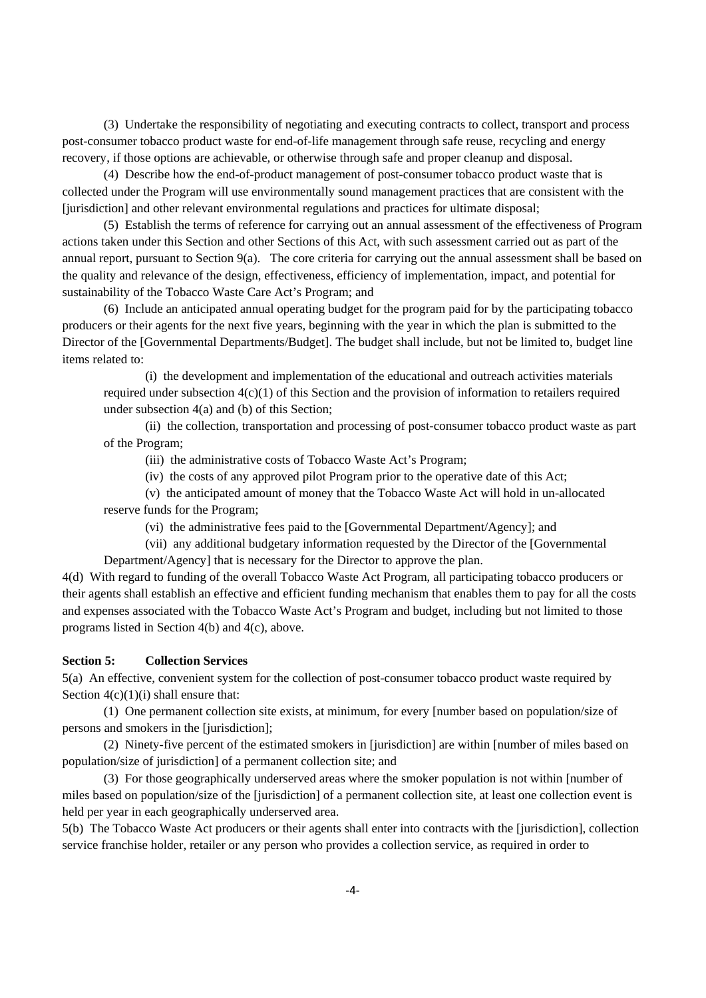(3) Undertake the responsibility of negotiating and executing contracts to collect, transport and process post-consumer tobacco product waste for end-of-life management through safe reuse, recycling and energy recovery, if those options are achievable, or otherwise through safe and proper cleanup and disposal.

(4) Describe how the end-of-product management of post-consumer tobacco product waste that is collected under the Program will use environmentally sound management practices that are consistent with the [jurisdiction] and other relevant environmental regulations and practices for ultimate disposal;

(5) Establish the terms of reference for carrying out an annual assessment of the effectiveness of Program actions taken under this Section and other Sections of this Act, with such assessment carried out as part of the annual report, pursuant to Section 9(a). The core criteria for carrying out the annual assessment shall be based on the quality and relevance of the design, effectiveness, efficiency of implementation, impact, and potential for sustainability of the Tobacco Waste Care Act's Program; and

(6) Include an anticipated annual operating budget for the program paid for by the participating tobacco producers or their agents for the next five years, beginning with the year in which the plan is submitted to the Director of the [Governmental Departments/Budget]. The budget shall include, but not be limited to, budget line items related to:

 (i) the development and implementation of the educational and outreach activities materials required under subsection  $4(c)(1)$  of this Section and the provision of information to retailers required under subsection 4(a) and (b) of this Section;

(ii) the collection, transportation and processing of post-consumer tobacco product waste as part of the Program;

(iii) the administrative costs of Tobacco Waste Act's Program;

(iv) the costs of any approved pilot Program prior to the operative date of this Act;

(v) the anticipated amount of money that the Tobacco Waste Act will hold in un-allocated reserve funds for the Program;

(vi) the administrative fees paid to the [Governmental Department/Agency]; and

(vii) any additional budgetary information requested by the Director of the [Governmental Department/Agency] that is necessary for the Director to approve the plan.

4(d) With regard to funding of the overall Tobacco Waste Act Program, all participating tobacco producers or their agents shall establish an effective and efficient funding mechanism that enables them to pay for all the costs and expenses associated with the Tobacco Waste Act's Program and budget, including but not limited to those programs listed in Section 4(b) and 4(c), above.

#### **Section 5: Collection Services**

5(a) An effective, convenient system for the collection of post-consumer tobacco product waste required by Section  $4(c)(1)(i)$  shall ensure that:

 (1) One permanent collection site exists, at minimum, for every [number based on population/size of persons and smokers in the [jurisdiction];

 (2) Ninety-five percent of the estimated smokers in [jurisdiction] are within [number of miles based on population/size of jurisdiction] of a permanent collection site; and

 (3) For those geographically underserved areas where the smoker population is not within [number of miles based on population/size of the [jurisdiction] of a permanent collection site, at least one collection event is held per year in each geographically underserved area.

5(b) The Tobacco Waste Act producers or their agents shall enter into contracts with the [jurisdiction], collection service franchise holder, retailer or any person who provides a collection service, as required in order to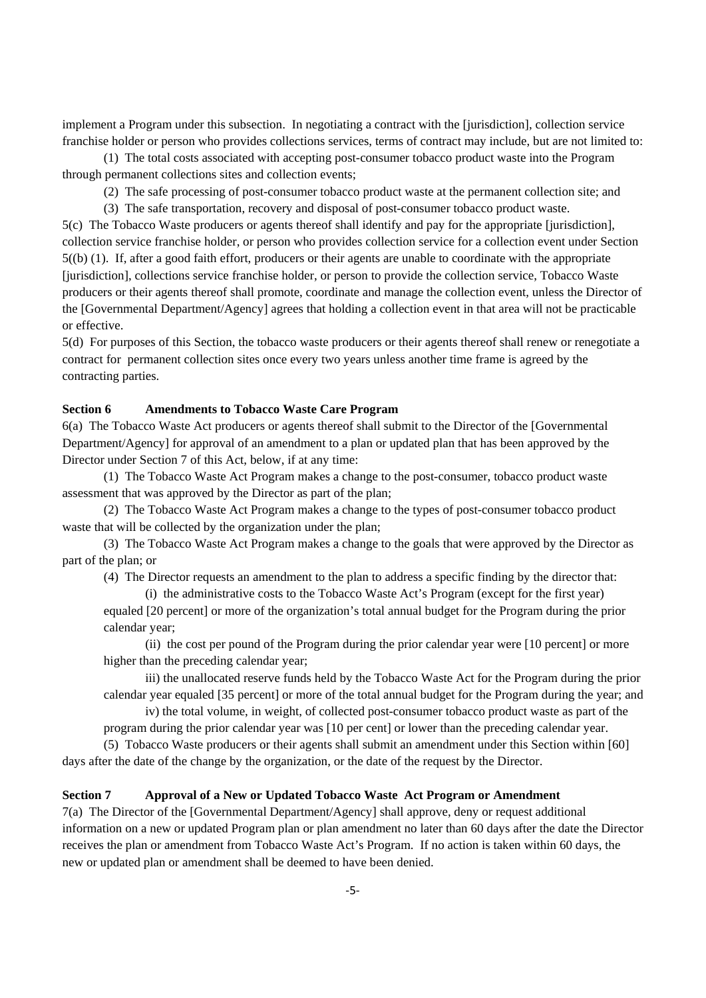implement a Program under this subsection. In negotiating a contract with the [jurisdiction], collection service franchise holder or person who provides collections services, terms of contract may include, but are not limited to:

 (1) The total costs associated with accepting post-consumer tobacco product waste into the Program through permanent collections sites and collection events;

(2) The safe processing of post-consumer tobacco product waste at the permanent collection site; and

(3) The safe transportation, recovery and disposal of post-consumer tobacco product waste.

5(c) The Tobacco Waste producers or agents thereof shall identify and pay for the appropriate [jurisdiction], collection service franchise holder, or person who provides collection service for a collection event under Section 5((b) (1). If, after a good faith effort, producers or their agents are unable to coordinate with the appropriate [jurisdiction], collections service franchise holder, or person to provide the collection service, Tobacco Waste producers or their agents thereof shall promote, coordinate and manage the collection event, unless the Director of the [Governmental Department/Agency] agrees that holding a collection event in that area will not be practicable or effective.

5(d) For purposes of this Section, the tobacco waste producers or their agents thereof shall renew or renegotiate a contract for permanent collection sites once every two years unless another time frame is agreed by the contracting parties.

## **Section 6 Amendments to Tobacco Waste Care Program**

6(a) The Tobacco Waste Act producers or agents thereof shall submit to the Director of the [Governmental Department/Agency] for approval of an amendment to a plan or updated plan that has been approved by the Director under Section 7 of this Act, below, if at any time:

 (1) The Tobacco Waste Act Program makes a change to the post-consumer, tobacco product waste assessment that was approved by the Director as part of the plan;

 (2) The Tobacco Waste Act Program makes a change to the types of post-consumer tobacco product waste that will be collected by the organization under the plan;

 (3) The Tobacco Waste Act Program makes a change to the goals that were approved by the Director as part of the plan; or

(4) The Director requests an amendment to the plan to address a specific finding by the director that:

(i) the administrative costs to the Tobacco Waste Act's Program (except for the first year) equaled [20 percent] or more of the organization's total annual budget for the Program during the prior calendar year;

(ii) the cost per pound of the Program during the prior calendar year were [10 percent] or more higher than the preceding calendar year;

iii) the unallocated reserve funds held by the Tobacco Waste Act for the Program during the prior calendar year equaled [35 percent] or more of the total annual budget for the Program during the year; and

iv) the total volume, in weight, of collected post-consumer tobacco product waste as part of the program during the prior calendar year was [10 per cent] or lower than the preceding calendar year.

 (5) Tobacco Waste producers or their agents shall submit an amendment under this Section within [60] days after the date of the change by the organization, or the date of the request by the Director.

#### **Section 7 Approval of a New or Updated Tobacco Waste Act Program or Amendment**

7(a) The Director of the [Governmental Department/Agency] shall approve, deny or request additional information on a new or updated Program plan or plan amendment no later than 60 days after the date the Director receives the plan or amendment from Tobacco Waste Act's Program. If no action is taken within 60 days, the new or updated plan or amendment shall be deemed to have been denied.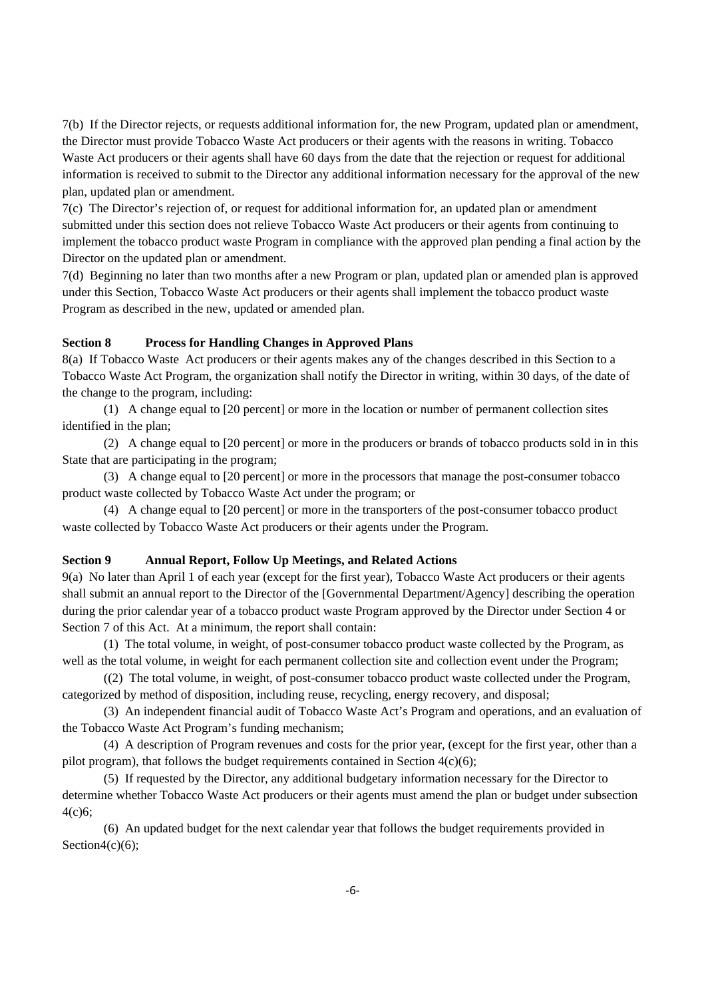7(b) If the Director rejects, or requests additional information for, the new Program, updated plan or amendment, the Director must provide Tobacco Waste Act producers or their agents with the reasons in writing. Tobacco Waste Act producers or their agents shall have 60 days from the date that the rejection or request for additional information is received to submit to the Director any additional information necessary for the approval of the new plan, updated plan or amendment.

7(c) The Director's rejection of, or request for additional information for, an updated plan or amendment submitted under this section does not relieve Tobacco Waste Act producers or their agents from continuing to implement the tobacco product waste Program in compliance with the approved plan pending a final action by the Director on the updated plan or amendment.

7(d) Beginning no later than two months after a new Program or plan, updated plan or amended plan is approved under this Section, Tobacco Waste Act producers or their agents shall implement the tobacco product waste Program as described in the new, updated or amended plan.

### **Section 8 Process for Handling Changes in Approved Plans**

8(a) If Tobacco Waste Act producers or their agents makes any of the changes described in this Section to a Tobacco Waste Act Program, the organization shall notify the Director in writing, within 30 days, of the date of the change to the program, including:

 (1) A change equal to [20 percent] or more in the location or number of permanent collection sites identified in the plan;

 (2) A change equal to [20 percent] or more in the producers or brands of tobacco products sold in in this State that are participating in the program;

 (3) A change equal to [20 percent] or more in the processors that manage the post-consumer tobacco product waste collected by Tobacco Waste Act under the program; or

 (4) A change equal to [20 percent] or more in the transporters of the post-consumer tobacco product waste collected by Tobacco Waste Act producers or their agents under the Program.

### **Section 9 Annual Report, Follow Up Meetings, and Related Actions**

9(a) No later than April 1 of each year (except for the first year), Tobacco Waste Act producers or their agents shall submit an annual report to the Director of the [Governmental Department/Agency] describing the operation during the prior calendar year of a tobacco product waste Program approved by the Director under Section 4 or Section 7 of this Act. At a minimum, the report shall contain:

 (1) The total volume, in weight, of post-consumer tobacco product waste collected by the Program, as well as the total volume, in weight for each permanent collection site and collection event under the Program;

 ((2) The total volume, in weight, of post-consumer tobacco product waste collected under the Program, categorized by method of disposition, including reuse, recycling, energy recovery, and disposal;

 (3) An independent financial audit of Tobacco Waste Act's Program and operations, and an evaluation of the Tobacco Waste Act Program's funding mechanism;

 (4) A description of Program revenues and costs for the prior year, (except for the first year, other than a pilot program), that follows the budget requirements contained in Section  $4(c)(6)$ ;

 (5) If requested by the Director, any additional budgetary information necessary for the Director to determine whether Tobacco Waste Act producers or their agents must amend the plan or budget under subsection 4(c)6;

 (6) An updated budget for the next calendar year that follows the budget requirements provided in Section $4(c)(6)$ ;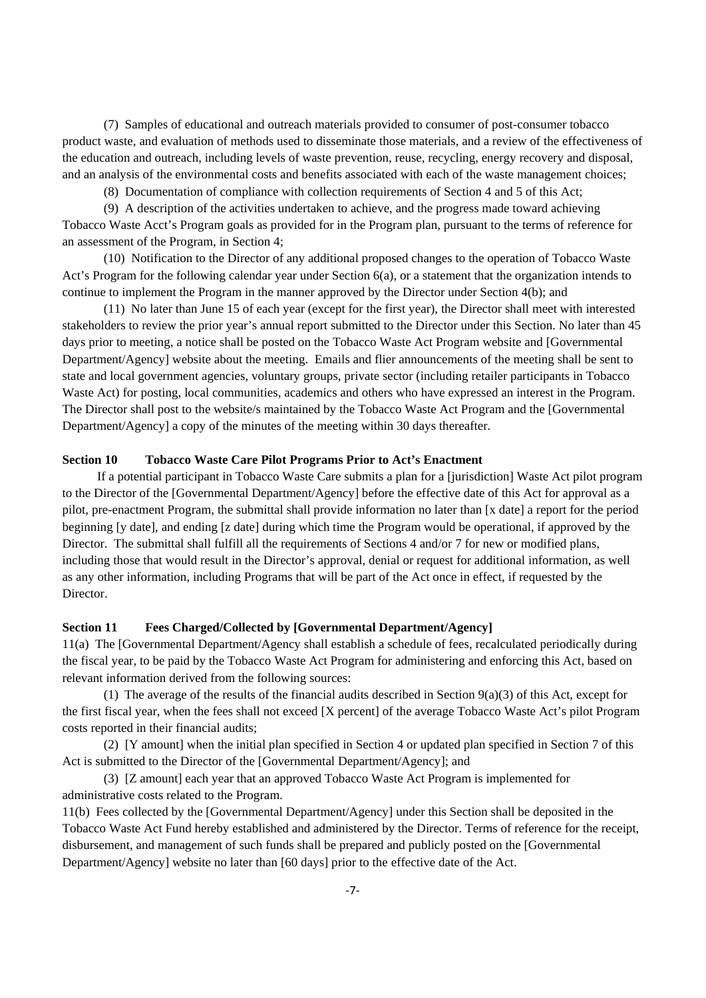(7) Samples of educational and outreach materials provided to consumer of post-consumer tobacco product waste, and evaluation of methods used to disseminate those materials, and a review of the effectiveness of the education and outreach, including levels of waste prevention, reuse, recycling, energy recovery and disposal, and an analysis of the environmental costs and benefits associated with each of the waste management choices;

(8) Documentation of compliance with collection requirements of Section 4 and 5 of this Act;

 (9) A description of the activities undertaken to achieve, and the progress made toward achieving Tobacco Waste Acct's Program goals as provided for in the Program plan, pursuant to the terms of reference for an assessment of the Program, in Section 4;

 (10) Notification to the Director of any additional proposed changes to the operation of Tobacco Waste Act's Program for the following calendar year under Section 6(a), or a statement that the organization intends to continue to implement the Program in the manner approved by the Director under Section 4(b); and

 (11) No later than June 15 of each year (except for the first year), the Director shall meet with interested stakeholders to review the prior year's annual report submitted to the Director under this Section. No later than 45 days prior to meeting, a notice shall be posted on the Tobacco Waste Act Program website and [Governmental Department/Agency] website about the meeting. Emails and flier announcements of the meeting shall be sent to state and local government agencies, voluntary groups, private sector (including retailer participants in Tobacco Waste Act) for posting, local communities, academics and others who have expressed an interest in the Program. The Director shall post to the website/s maintained by the Tobacco Waste Act Program and the [Governmental Department/Agency] a copy of the minutes of the meeting within 30 days thereafter.

## **Section 10 Tobacco Waste Care Pilot Programs Prior to Act's Enactment**

 If a potential participant in Tobacco Waste Care submits a plan for a [jurisdiction] Waste Act pilot program to the Director of the [Governmental Department/Agency] before the effective date of this Act for approval as a pilot, pre-enactment Program, the submittal shall provide information no later than [x date] a report for the period beginning [y date], and ending [z date] during which time the Program would be operational, if approved by the Director. The submittal shall fulfill all the requirements of Sections 4 and/or 7 for new or modified plans, including those that would result in the Director's approval, denial or request for additional information, as well as any other information, including Programs that will be part of the Act once in effect, if requested by the Director.

#### **Section 11 Fees Charged/Collected by [Governmental Department/Agency]**

11(a) The [Governmental Department/Agency shall establish a schedule of fees, recalculated periodically during the fiscal year, to be paid by the Tobacco Waste Act Program for administering and enforcing this Act, based on relevant information derived from the following sources:

(1) The average of the results of the financial audits described in Section  $9(a)(3)$  of this Act, except for the first fiscal year, when the fees shall not exceed [X percent] of the average Tobacco Waste Act's pilot Program costs reported in their financial audits;

 (2) [Y amount] when the initial plan specified in Section 4 or updated plan specified in Section 7 of this Act is submitted to the Director of the [Governmental Department/Agency]; and

(3) [Z amount] each year that an approved Tobacco Waste Act Program is implemented for administrative costs related to the Program.

11(b) Fees collected by the [Governmental Department/Agency] under this Section shall be deposited in the Tobacco Waste Act Fund hereby established and administered by the Director. Terms of reference for the receipt, disbursement, and management of such funds shall be prepared and publicly posted on the [Governmental Department/Agency] website no later than [60 days] prior to the effective date of the Act.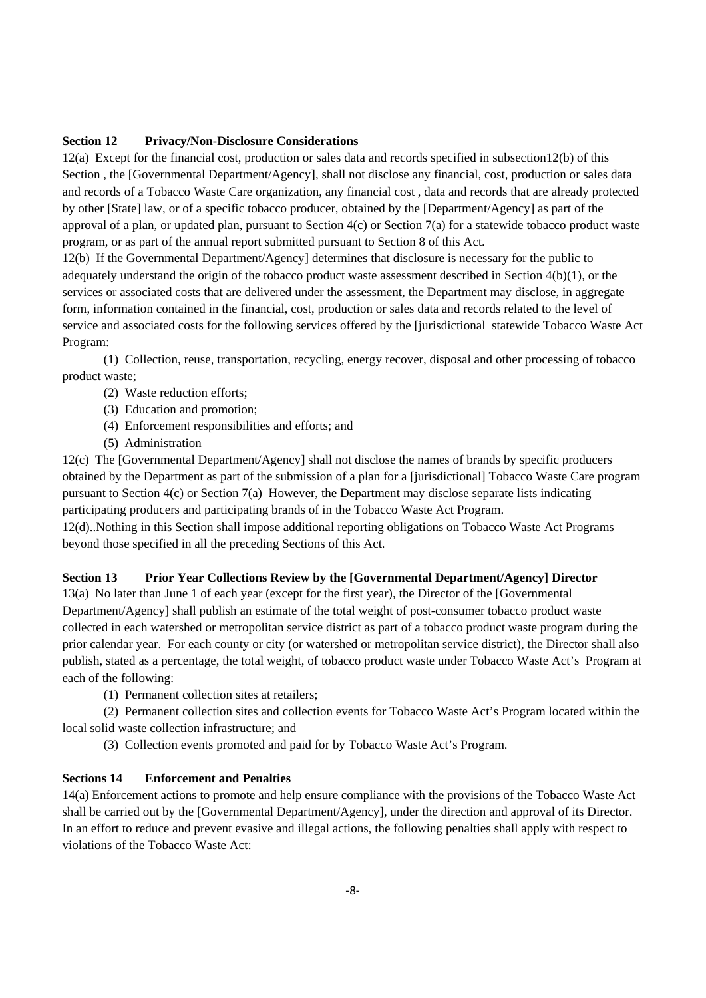## **Section 12 Privacy/Non-Disclosure Considerations**

12(a) Except for the financial cost, production or sales data and records specified in subsection12(b) of this Section, the [Governmental Department/Agency], shall not disclose any financial, cost, production or sales data and records of a Tobacco Waste Care organization, any financial cost , data and records that are already protected by other [State] law, or of a specific tobacco producer, obtained by the [Department/Agency] as part of the approval of a plan, or updated plan, pursuant to Section 4(c) or Section 7(a) for a statewide tobacco product waste program, or as part of the annual report submitted pursuant to Section 8 of this Act.

12(b) If the Governmental Department/Agency] determines that disclosure is necessary for the public to adequately understand the origin of the tobacco product waste assessment described in Section 4(b)(1), or the services or associated costs that are delivered under the assessment, the Department may disclose, in aggregate form, information contained in the financial, cost, production or sales data and records related to the level of service and associated costs for the following services offered by the [jurisdictional statewide Tobacco Waste Act Program:

 (1) Collection, reuse, transportation, recycling, energy recover, disposal and other processing of tobacco product waste;

- (2) Waste reduction efforts;
- (3) Education and promotion;
- (4) Enforcement responsibilities and efforts; and
- (5) Administration

12(c) The [Governmental Department/Agency] shall not disclose the names of brands by specific producers obtained by the Department as part of the submission of a plan for a [jurisdictional] Tobacco Waste Care program pursuant to Section 4(c) or Section 7(a) However, the Department may disclose separate lists indicating participating producers and participating brands of in the Tobacco Waste Act Program.

12(d)..Nothing in this Section shall impose additional reporting obligations on Tobacco Waste Act Programs beyond those specified in all the preceding Sections of this Act.

### **Section 13 Prior Year Collections Review by the [Governmental Department/Agency] Director**

13(a) No later than June 1 of each year (except for the first year), the Director of the [Governmental Department/Agency] shall publish an estimate of the total weight of post-consumer tobacco product waste collected in each watershed or metropolitan service district as part of a tobacco product waste program during the prior calendar year. For each county or city (or watershed or metropolitan service district), the Director shall also publish, stated as a percentage, the total weight, of tobacco product waste under Tobacco Waste Act's Program at each of the following:

(1) Permanent collection sites at retailers;

 (2) Permanent collection sites and collection events for Tobacco Waste Act's Program located within the local solid waste collection infrastructure; and

(3) Collection events promoted and paid for by Tobacco Waste Act's Program.

## **Sections 14 Enforcement and Penalties**

14(a) Enforcement actions to promote and help ensure compliance with the provisions of the Tobacco Waste Act shall be carried out by the [Governmental Department/Agency], under the direction and approval of its Director. In an effort to reduce and prevent evasive and illegal actions, the following penalties shall apply with respect to violations of the Tobacco Waste Act: